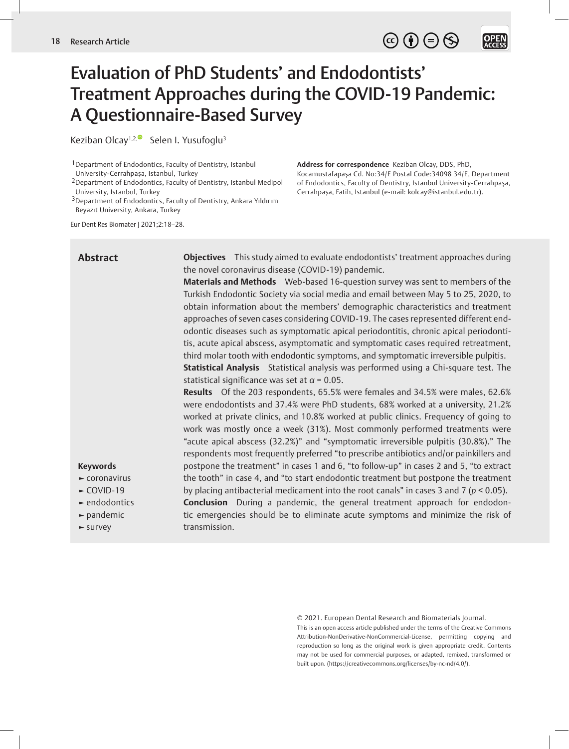**OPEN**<br>ACCESS

# Evaluation of PhD Students' and Endodontists' Treatment Approaches during the COVID-19 Pandemic: A Questionnaire-Based Survey

Keziban Olcay<sup>1,2, $\bullet$ </sup> Selen I. Yusufoglu<sup>3</sup>

1Department of Endodontics, Faculty of Dentistry, Istanbul University-Cerrahpaşa, Istanbul, Turkey

2Department of Endodontics, Faculty of Dentistry, Istanbul Medipol University, Istanbul, Turkey

3Department of Endodontics, Faculty of Dentistry, Ankara Yıldırım Beyazıt University, Ankara, Turkey

Eur Dent Res Biomater J 2021;2:18–28.

## **Abstract**

**Objectives** This study aimed to evaluate endodontists' treatment approaches during the novel coronavirus disease (COVID-19) pandemic.

**Address for correspondence** Keziban Olcay, DDS, PhD,

Kocamustafapaşa Cd. No:34/E Postal Code:34098 34/E, Department of Endodontics, Faculty of Dentistry, Istanbul University-Cerrahpaşa, Cerrahpaşa, Fatih, Istanbul (e-mail: kolcay@istanbul.edu.tr).

**Materials and Methods** Web-based 16-question survey was sent to members of the Turkish Endodontic Society via social media and email between May 5 to 25, 2020, to obtain information about the members' demographic characteristics and treatment approaches of seven cases considering COVID-19. The cases represented different endodontic diseases such as symptomatic apical periodontitis, chronic apical periodontitis, acute apical abscess, asymptomatic and symptomatic cases required retreatment, third molar tooth with endodontic symptoms, and symptomatic irreversible pulpitis.

**Statistical Analysis** Statistical analysis was performed using a Chi-square test. The statistical significance was set at *α* = 0.05.

**Results** Of the 203 respondents, 65.5% were females and 34.5% were males, 62.6% were endodontists and 37.4% were PhD students, 68% worked at a university, 21.2% worked at private clinics, and 10.8% worked at public clinics. Frequency of going to work was mostly once a week (31%). Most commonly performed treatments were "acute apical abscess (32.2%)" and "symptomatic irreversible pulpitis (30.8%)." The respondents most frequently preferred "to prescribe antibiotics and/or painkillers and postpone the treatment" in cases 1 and 6, "to follow-up" in cases 2 and 5, "to extract the tooth" in case 4, and "to start endodontic treatment but postpone the treatment by placing antibacterial medicament into the root canals" in cases 3 and 7 (*p* < 0.05).

**Conclusion** During a pandemic, the general treatment approach for endodontic emergencies should be to eliminate acute symptoms and minimize the risk of transmission.

© 2021. European Dental Research and Biomaterials Journal.

This is an open access article published under the terms of the Creative Commons Attribution-NonDerivative-NonCommercial-License, permitting copying and reproduction so long as the original work is given appropriate credit. Contents may not be used for commercial purposes, or adapted, remixed, transformed or built upon. (https://creativecommons.org/licenses/by-nc-nd/4.0/).

## **Keywords ►** coronavirus **►** COVID-19 **►** endodontics **►** pandemic **►** survey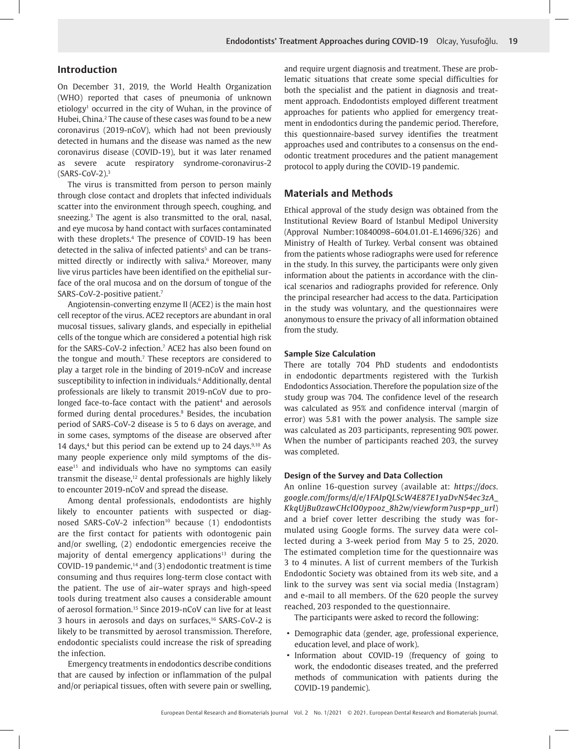## **Introduction**

On December 31, 2019, the World Health Organization (WHO) reported that cases of pneumonia of unknown etiology<sup>1</sup> occurred in the city of Wuhan, in the province of Hubei, China.2 The cause of these cases was found to be a new coronavirus (2019-nCoV), which had not been previously detected in humans and the disease was named as the new coronavirus disease (COVID-19), but it was later renamed as severe acute respiratory syndrome-coronavirus-2  $(SARS-CoV-2).<sup>3</sup>$ 

The virus is transmitted from person to person mainly through close contact and droplets that infected individuals scatter into the environment through speech, coughing, and sneezing.3 The agent is also transmitted to the oral, nasal, and eye mucosa by hand contact with surfaces contaminated with these droplets.4 The presence of COVID-19 has been detected in the saliva of infected patients<sup>5</sup> and can be transmitted directly or indirectly with saliva.6 Moreover, many live virus particles have been identified on the epithelial surface of the oral mucosa and on the dorsum of tongue of the SARS-CoV-2-positive patient.7

Angiotensin-converting enzyme II (ACE2) is the main host cell receptor of the virus. ACE2 receptors are abundant in oral mucosal tissues, salivary glands, and especially in epithelial cells of the tongue which are considered a potential high risk for the SARS-CoV-2 infection.<sup>7</sup> ACE2 has also been found on the tongue and mouth.<sup>7</sup> These receptors are considered to play a target role in the binding of 2019-nCoV and increase susceptibility to infection in individuals.6 Additionally, dental professionals are likely to transmit 2019-nCoV due to prolonged face-to-face contact with the patient<sup>4</sup> and aerosols formed during dental procedures.<sup>8</sup> Besides, the incubation period of SARS-CoV-2 disease is 5 to 6 days on average, and in some cases, symptoms of the disease are observed after 14 days, $4$  but this period can be extend up to 24 days. $9,10$  As many people experience only mild symptoms of the dis $e$ ase<sup>11</sup> and individuals who have no symptoms can easily transmit the disease,<sup>12</sup> dental professionals are highly likely to encounter 2019-nCoV and spread the disease.

Among dental professionals, endodontists are highly likely to encounter patients with suspected or diagnosed SARS-CoV-2 infection<sup>10</sup> because (1) endodontists are the first contact for patients with odontogenic pain and/or swelling, (2) endodontic emergencies receive the majority of dental emergency applications $13$  during the COVID-19 pandemic, $14$  and (3) endodontic treatment is time consuming and thus requires long-term close contact with the patient. The use of air–water sprays and high-speed tools during treatment also causes a considerable amount of aerosol formation.15 Since 2019-nCoV can live for at least 3 hours in aerosols and days on surfaces,<sup>16</sup> SARS-CoV-2 is likely to be transmitted by aerosol transmission. Therefore, endodontic specialists could increase the risk of spreading the infection.

Emergency treatments in endodontics describe conditions that are caused by infection or inflammation of the pulpal and/or periapical tissues, often with severe pain or swelling, and require urgent diagnosis and treatment. These are problematic situations that create some special difficulties for both the specialist and the patient in diagnosis and treatment approach. Endodontists employed different treatment approaches for patients who applied for emergency treatment in endodontics during the pandemic period. Therefore, this questionnaire-based survey identifies the treatment approaches used and contributes to a consensus on the endodontic treatment procedures and the patient management protocol to apply during the COVID-19 pandemic.

## **Materials and Methods**

Ethical approval of the study design was obtained from the Institutional Review Board of Istanbul Medipol University (Approval Number:10840098–604.01.01-E.14696/326) and Ministry of Health of Turkey. Verbal consent was obtained from the patients whose radiographs were used for reference in the study. In this survey, the participants were only given information about the patients in accordance with the clinical scenarios and radiographs provided for reference. Only the principal researcher had access to the data. Participation in the study was voluntary, and the questionnaires were anonymous to ensure the privacy of all information obtained from the study.

#### **Sample Size Calculation**

There are totally 704 PhD students and endodontists in endodontic departments registered with the Turkish Endodontics Association. Therefore the population size of the study group was 704. The confidence level of the research was calculated as 95% and confidence interval (margin of error) was 5.81 with the power analysis. The sample size was calculated as 203 participants, representing 90% power. When the number of participants reached 203, the survey was completed.

## **Design of the Survey and Data Collection**

An online 16-question survey (available at: *https://docs. google.com/forms/d/e/1FAIpQLScW4E87E1yaDvN54ec3zA\_ KkqUjBu0zawCHclO0ypooz\_8h2w/viewform?usp=pp\_url*) and a brief cover letter describing the study was formulated using Google forms. The survey data were collected during a 3-week period from May 5 to 25, 2020. The estimated completion time for the questionnaire was 3 to 4 minutes. A list of current members of the Turkish Endodontic Society was obtained from its web site, and a link to the survey was sent via social media (Instagram) and e-mail to all members. Of the 620 people the survey reached, 203 responded to the questionnaire.

The participants were asked to record the following:

- Demographic data (gender, age, professional experience, education level, and place of work).
- Information about COVID-19 (frequency of going to work, the endodontic diseases treated, and the preferred methods of communication with patients during the COVID-19 pandemic).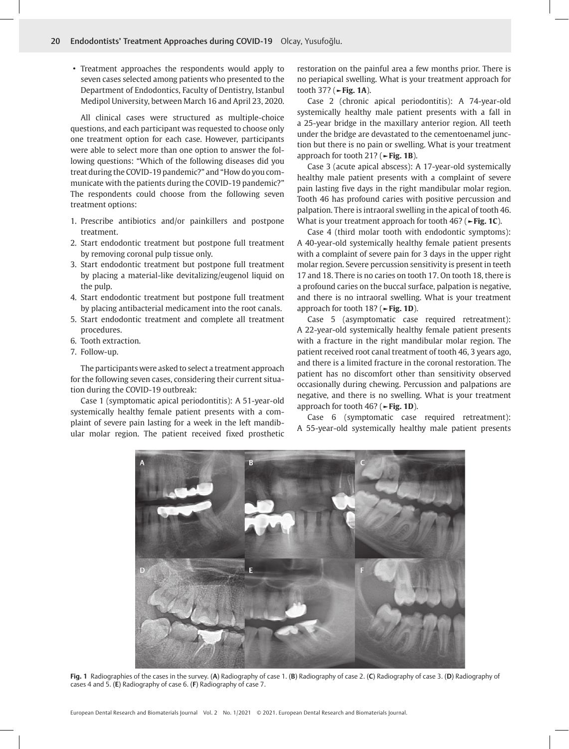• Treatment approaches the respondents would apply to seven cases selected among patients who presented to the Department of Endodontics, Faculty of Dentistry, Istanbul Medipol University, between March 16 and April 23, 2020.

All clinical cases were structured as multiple-choice questions, and each participant was requested to choose only one treatment option for each case. However, participants were able to select more than one option to answer the following questions: "Which of the following diseases did you treat during the COVID-19 pandemic?" and "How do you communicate with the patients during the COVID-19 pandemic?" The respondents could choose from the following seven treatment options:

- 1. Prescribe antibiotics and/or painkillers and postpone treatment.
- 2. Start endodontic treatment but postpone full treatment by removing coronal pulp tissue only.
- 3. Start endodontic treatment but postpone full treatment by placing a material-like devitalizing/eugenol liquid on the pulp.
- 4. Start endodontic treatment but postpone full treatment by placing antibacterial medicament into the root canals.
- 5. Start endodontic treatment and complete all treatment procedures.
- 6. Tooth extraction.
- 7. Follow-up.

The participants were asked to select a treatment approach for the following seven cases, considering their current situation during the COVID-19 outbreak:

Case 1 (symptomatic apical periodontitis): A 51-year-old systemically healthy female patient presents with a complaint of severe pain lasting for a week in the left mandibular molar region. The patient received fixed prosthetic restoration on the painful area a few months prior. There is no periapical swelling. What is your treatment approach for tooth 37? (**►Fig. 1A**).

Case 2 (chronic apical periodontitis): A 74-year-old systemically healthy male patient presents with a fall in a 25-year bridge in the maxillary anterior region. All teeth under the bridge are devastated to the cementoenamel junction but there is no pain or swelling. What is your treatment approach for tooth 21? (**►Fig. 1B**).

Case 3 (acute apical abscess): A 17-year-old systemically healthy male patient presents with a complaint of severe pain lasting five days in the right mandibular molar region. Tooth 46 has profound caries with positive percussion and palpation. There is intraoral swelling in the apical of tooth 46. What is your treatment approach for tooth 46? (**►Fig. 1C**).

Case 4 (third molar tooth with endodontic symptoms): A 40-year-old systemically healthy female patient presents with a complaint of severe pain for 3 days in the upper right molar region. Severe percussion sensitivity is present in teeth 17 and 18. There is no caries on tooth 17. On tooth 18, there is a profound caries on the buccal surface, palpation is negative, and there is no intraoral swelling. What is your treatment approach for tooth 18? (**►Fig. 1D**).

Case 5 (asymptomatic case required retreatment): A 22-year-old systemically healthy female patient presents with a fracture in the right mandibular molar region. The patient received root canal treatment of tooth 46, 3 years ago, and there is a limited fracture in the coronal restoration. The patient has no discomfort other than sensitivity observed occasionally during chewing. Percussion and palpations are negative, and there is no swelling. What is your treatment approach for tooth 46? (**►Fig. 1D**).

Case 6 (symptomatic case required retreatment): A 55-year-old systemically healthy male patient presents



**Fig. 1** Radiographies of the cases in the survey. (**A**) Radiography of case 1. (**B**) Radiography of case 2. (**C**) Radiography of case 3. (**D**) Radiography of cases 4 and 5. (**E**) Radiography of case 6. (**F**) Radiography of case 7.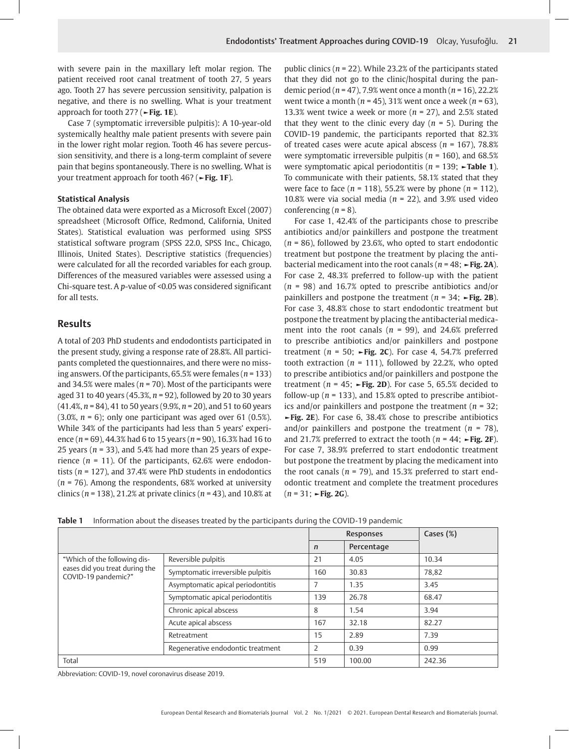with severe pain in the maxillary left molar region. The patient received root canal treatment of tooth 27, 5 years ago. Tooth 27 has severe percussion sensitivity, palpation is negative, and there is no swelling. What is your treatment approach for tooth 27? (**►Fig. 1E**).

Case 7 (symptomatic irreversible pulpitis): A 10-year-old systemically healthy male patient presents with severe pain in the lower right molar region. Tooth 46 has severe percussion sensitivity, and there is a long-term complaint of severe pain that begins spontaneously. There is no swelling. What is your treatment approach for tooth 46? (**►Fig. 1F**).

## **Statistical Analysis**

The obtained data were exported as a Microsoft Excel (2007) spreadsheet (Microsoft Office, Redmond, California, United States). Statistical evaluation was performed using SPSS statistical software program (SPSS 22.0, SPSS Inc., Chicago, Illinois, United States). Descriptive statistics (frequencies) were calculated for all the recorded variables for each group. Differences of the measured variables were assessed using a Chi-square test. A *p*-value of <0.05 was considered significant for all tests.

## **Results**

A total of 203 PhD students and endodontists participated in the present study, giving a response rate of 28.8%. All participants completed the questionnaires, and there were no missing answers. Of the participants, 65.5% were females (*n* = 133) and 34.5% were males (*n* = 70). Most of the participants were aged 31 to 40 years (45.3%, *n* = 92), followed by 20 to 30 years (41.4%, *n* = 84), 41 to 50 years (9.9%, *n* = 20), and 51 to 60 years (3.0%, *n* = 6); only one participant was aged over 61 (0.5%). While 34% of the participants had less than 5 years' experience (*n* = 69), 44.3% had 6 to 15 years (*n* = 90), 16.3% had 16 to 25 years ( $n = 33$ ), and 5.4% had more than 25 years of experience (*n* = 11). Of the participants, 62.6% were endodontists (*n* = 127), and 37.4% were PhD students in endodontics (*n* = 76). Among the respondents, 68% worked at university clinics (*n* = 138), 21.2% at private clinics (*n* = 43), and 10.8% at public clinics (*n* = 22). While 23.2% of the participants stated that they did not go to the clinic/hospital during the pandemic period (*n* = 47), 7.9% went once a month (*n* = 16), 22.2% went twice a month (*n* = 45), 31% went once a week (*n* = 63), 13.3% went twice a week or more  $(n = 27)$ , and 2.5% stated that they went to the clinic every day  $(n = 5)$ . During the COVID-19 pandemic, the participants reported that 82.3% of treated cases were acute apical abscess (*n* = 167), 78.8% were symptomatic irreversible pulpitis (*n* = 160), and 68.5% were symptomatic apical periodontitis (*n* = 139; **►Table 1**). To communicate with their patients, 58.1% stated that they were face to face (*n* = 118), 55.2% were by phone (*n* = 112), 10.8% were via social media ( $n = 22$ ), and 3.9% used video conferencing  $(n = 8)$ .

For case 1, 42.4% of the participants chose to prescribe antibiotics and/or painkillers and postpone the treatment (*n* = 86), followed by 23.6%, who opted to start endodontic treatment but postpone the treatment by placing the antibacterial medicament into the root canals ( $n = 48$ ;  $\rightarrow$  Fig. 2A). For case 2, 48.3% preferred to follow-up with the patient (*n* = 98) and 16.7% opted to prescribe antibiotics and/or painkillers and postpone the treatment (*n* = 34; **►Fig. 2B**). For case 3, 48.8% chose to start endodontic treatment but postpone the treatment by placing the antibacterial medicament into the root canals (*n* = 99), and 24.6% preferred to prescribe antibiotics and/or painkillers and postpone treatment ( $n = 50$ ;  $\blacktriangleright$  Fig. 2C). For case 4, 54.7% preferred tooth extraction ( $n = 111$ ), followed by 22.2%, who opted to prescribe antibiotics and/or painkillers and postpone the treatment ( $n = 45$ ;  $\rightarrow$  Fig. 2D). For case 5, 65.5% decided to follow-up ( $n = 133$ ), and 15.8% opted to prescribe antibiotics and/or painkillers and postpone the treatment (*n* = 32; **►Fig. 2E**). For case 6, 38.4% chose to prescribe antibiotics and/or painkillers and postpone the treatment  $(n = 78)$ , and 21.7% preferred to extract the tooth  $(n = 44; \rightarrow$ Fig. 2F). For case 7, 38.9% preferred to start endodontic treatment but postpone the treatment by placing the medicament into the root canals ( $n = 79$ ), and 15.3% preferred to start endodontic treatment and complete the treatment procedures (*n* = 31; **►Fig. 2G**).

|  | <b>Table 1</b> Information about the diseases treated by the participants during the COVID-19 pandemic |  |  |  |  |  |  |
|--|--------------------------------------------------------------------------------------------------------|--|--|--|--|--|--|
|--|--------------------------------------------------------------------------------------------------------|--|--|--|--|--|--|

|                                                       |                                   |                | <b>Responses</b> | Cases (%) |
|-------------------------------------------------------|-----------------------------------|----------------|------------------|-----------|
|                                                       |                                   | $\mathsf{n}$   | Percentage       |           |
| "Which of the following dis-                          | Reversible pulpitis<br>21         |                | 4.05             | 10.34     |
| eases did you treat during the<br>COVID-19 pandemic?" | Symptomatic irreversible pulpitis | 160            | 30.83            | 78,82     |
|                                                       | Asymptomatic apical periodontitis |                | 1.35             | 3.45      |
|                                                       | Symptomatic apical periodontitis  | 139            | 26.78            | 68.47     |
|                                                       | Chronic apical abscess            | 8              | 1.54             | 3.94      |
|                                                       | Acute apical abscess              | 167            | 32.18            | 82.27     |
|                                                       | Retreatment                       | 15             | 2.89             | 7.39      |
|                                                       | Regenerative endodontic treatment | $\overline{2}$ | 0.39             | 0.99      |
| Total                                                 |                                   | 519            | 100.00           | 242.36    |

Abbreviation: COVID-19, novel coronavirus disease 2019.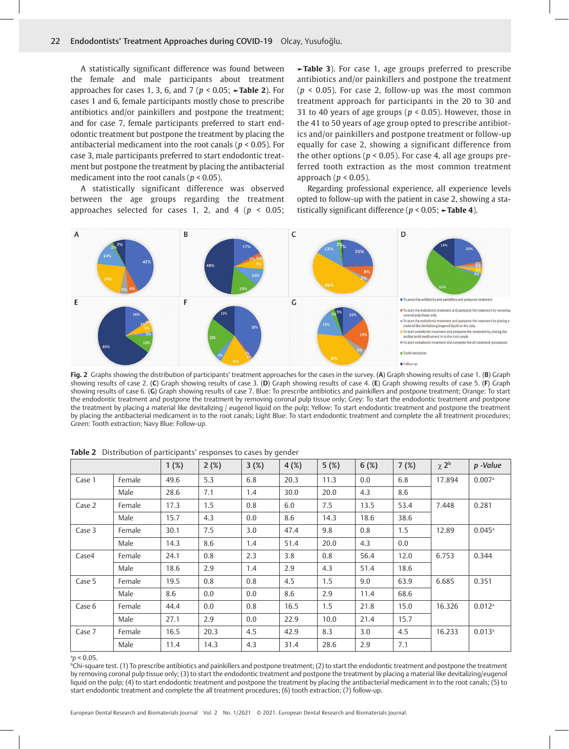A statistically significant difference was found between the female and male participants about treatment approaches for cases 1, 3, 6, and 7 (*p* < 0.05; **►Table 2**). For cases 1 and 6, female participants mostly chose to prescribe antibiotics and/or painkillers and postpone the treatment; and for case 7, female participants preferred to start endodontic treatment but postpone the treatment by placing the antibacterial medicament into the root canals (*p* < 0.05). For case 3, male participants preferred to start endodontic treatment but postpone the treatment by placing the antibacterial medicament into the root canals (*p* < 0.05).

A statistically significant difference was observed between the age groups regarding the treatment approaches selected for cases 1, 2, and 4 (*p* < 0.05;

**►Table 3**). For case 1, age groups preferred to prescribe antibiotics and/or painkillers and postpone the treatment  $(p < 0.05)$ . For case 2, follow-up was the most common treatment approach for participants in the 20 to 30 and 31 to 40 years of age groups ( $p < 0.05$ ). However, those in the 41 to 50 years of age group opted to prescribe antibiotics and/or painkillers and postpone treatment or follow-up equally for case 2, showing a significant difference from the other options ( $p < 0.05$ ). For case 4, all age groups preferred tooth extraction as the most common treatment approach ( $p < 0.05$ ).

Regarding professional experience, all experience levels opted to follow-up with the patient in case 2, showing a statistically significant difference (*p* < 0.05; **►Table 4**).



**Fig. 2** Graphs showing the distribution of participants' treatment approaches for the cases in the survey. (**A**) Graph showing results of case 1. (**B**) Graph showing results of case 2. (**C**) Graph showing results of case 3. (**D**) Graph showing results of case 4. (**E**) Graph showing results of case 5. (**F**) Graph showing results of case 6. (**G**) Graph showing results of case 7. Blue: To prescribe antibiotics and painkillers and postpone treatment; Orange: To start the endodontic treatment and postpone the treatment by removing coronal pulp tissue only; Grey: To start the endodontic treatment and postpone the treatment by placing a material like devitalizing / eugenol liquid on the pulp; Yellow: To start endodontic treatment and postpone the treatment by placing the antibacterial medicament in to the root canals; Light Blue: To start endodontic treatment and complete the all treatment procedures; Green: Tooth extraction; Navy Blue: Follow-up.

|        |        | 1(%) | 2(%) | 3(%) | 4(%) | 5(%) | 6(%) | 7(%) | $\chi$ $2^b$ | p -Value             |
|--------|--------|------|------|------|------|------|------|------|--------------|----------------------|
| Case 1 | Female | 49.6 | 5.3  | 6.8  | 20.3 | 11.3 | 0.0  | 6.8  | 17.894       | 0.007a               |
|        | Male   | 28.6 | 7.1  | 1.4  | 30.0 | 20.0 | 4.3  | 8.6  |              |                      |
| Case 2 | Female | 17.3 | 1.5  | 0.8  | 6.0  | 7.5  | 13.5 | 53.4 | 7.448        | 0.281                |
|        | Male   | 15.7 | 4.3  | 0.0  | 8.6  | 14.3 | 18.6 | 38.6 |              |                      |
| Case 3 | Female | 30.1 | 7.5  | 3.0  | 47.4 | 9.8  | 0.8  | 1.5  | 12.89        | $0.045$ <sup>a</sup> |
|        | Male   | 14.3 | 8.6  | 1.4  | 51.4 | 20.0 | 4.3  | 0.0  |              |                      |
| Case4  | Female | 24.1 | 0.8  | 2.3  | 3.8  | 0.8  | 56.4 | 12.0 | 6.753        | 0.344                |
|        | Male   | 18.6 | 2.9  | 1.4  | 2.9  | 4.3  | 51.4 | 18.6 |              |                      |
| Case 5 | Female | 19.5 | 0.8  | 0.8  | 4.5  | 1.5  | 9.0  | 63.9 | 6.685        | 0.351                |
|        | Male   | 8.6  | 0.0  | 0.0  | 8.6  | 2.9  | 11.4 | 68.6 |              |                      |
| Case 6 | Female | 44.4 | 0.0  | 0.8  | 16.5 | 1.5  | 21.8 | 15.0 | 16.326       | $0.012$ <sup>a</sup> |
|        | Male   | 27.1 | 2.9  | 0.0  | 22.9 | 10.0 | 21.4 | 15.7 |              |                      |
| Case 7 | Female | 16.5 | 20.3 | 4.5  | 42.9 | 8.3  | 3.0  | 4.5  | 16.233       | $0.013$ <sup>a</sup> |
|        | Male   | 11.4 | 14.3 | 4.3  | 31.4 | 28.6 | 2.9  | 7.1  |              |                      |

**Table 2** Distribution of participants' responses to cases by gender

#### $^{a}p < 0.05$ .

b Chi-square test. (1) To prescribe antibiotics and painkillers and postpone treatment; (2) to start the endodontic treatment and postpone the treatment by removing coronal pulp tissue only; (3) to start the endodontic treatment and postpone the treatment by placing a material like devitalizing/eugenol liquid on the pulp; (4) to start endodontic treatment and postpone the treatment by placing the antibacterial medicament in to the root canals; (5) to start endodontic treatment and complete the all treatment procedures; (6) tooth extraction; (7) follow-up.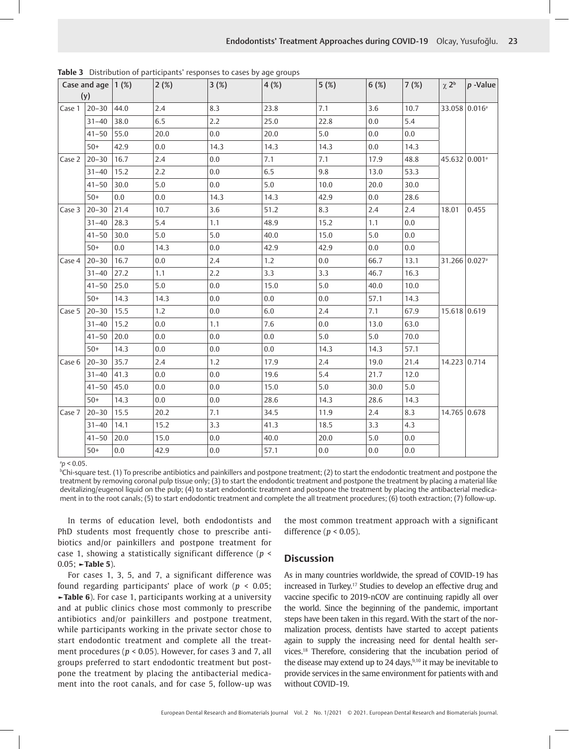|        | Case and age $(1 \%)$<br>(y) |      | 2(%) | 3(%)    | 4(%) | 5(%)    | 6(%) | 7(%) | $\chi$ 2 <sup>b</sup>     | $ p -$ Value |
|--------|------------------------------|------|------|---------|------|---------|------|------|---------------------------|--------------|
| Case 1 | $20 - 30$                    | 44.0 | 2.4  | 8.3     | 23.8 | 7.1     | 3.6  | 10.7 | 33.058 0.016 <sup>a</sup> |              |
|        | $31 - 40$                    | 38.0 | 6.5  | 2.2     | 25.0 | 22.8    | 0.0  | 5.4  |                           |              |
|        | $41 - 50$                    | 55.0 | 20.0 | 0.0     | 20.0 | 5.0     | 0.0  | 0.0  |                           |              |
|        | $50+$                        | 42.9 | 0.0  | 14.3    | 14.3 | 14.3    | 0.0  | 14.3 |                           |              |
| Case 2 | $20 - 30$                    | 16.7 | 2.4  | 0.0     | 7.1  | 7.1     | 17.9 | 48.8 | 45.632 0.001 <sup>a</sup> |              |
|        | $31 - 40$                    | 15.2 | 2.2  | 0.0     | 6.5  | 9.8     | 13.0 | 53.3 |                           |              |
|        | $41 - 50$                    | 30.0 | 5.0  | 0.0     | 5.0  | 10.0    | 20.0 | 30.0 |                           |              |
|        | $50+$                        | 0.0  | 0.0  | 14.3    | 14.3 | 42.9    | 0.0  | 28.6 |                           |              |
| Case 3 | $20 - 30$                    | 21.4 | 10.7 | 3.6     | 51.2 | 8.3     | 2.4  | 2.4  | 18.01                     | 0.455        |
|        | $31 - 40$                    | 28.3 | 5.4  | 1.1     | 48.9 | 15.2    | 1.1  | 0.0  |                           |              |
|        | $41 - 50$                    | 30.0 | 5.0  | 5.0     | 40.0 | 15.0    | 5.0  | 0.0  |                           |              |
|        | $50+$                        | 0.0  | 14.3 | 0.0     | 42.9 | 42.9    | 0.0  | 0.0  |                           |              |
| Case 4 | $20 - 30$                    | 16.7 | 0.0  | 2.4     | 1.2  | 0.0     | 66.7 | 13.1 | 31.266 0.027 <sup>a</sup> |              |
|        | $31 - 40$                    | 27.2 | 1.1  | 2.2     | 3.3  | 3.3     | 46.7 | 16.3 |                           |              |
|        | $41 - 50$                    | 25.0 | 5.0  | 0.0     | 15.0 | 5.0     | 40.0 | 10.0 |                           |              |
|        | $50+$                        | 14.3 | 14.3 | 0.0     | 0.0  | 0.0     | 57.1 | 14.3 |                           |              |
| Case 5 | $20 - 30$                    | 15.5 | 1.2  | 0.0     | 6.0  | 2.4     | 7.1  | 67.9 | 15.618 0.619              |              |
|        | $31 - 40$                    | 15.2 | 0.0  | 1.1     | 7.6  | $0.0\,$ | 13.0 | 63.0 |                           |              |
|        | $41 - 50$                    | 20.0 | 0.0  | 0.0     | 0.0  | 5.0     | 5.0  | 70.0 |                           |              |
|        | $50+$                        | 14.3 | 0.0  | 0.0     | 0.0  | 14.3    | 14.3 | 57.1 |                           |              |
| Case 6 | $20 - 30$                    | 35.7 | 2.4  | 1.2     | 17.9 | 2.4     | 19.0 | 21.4 | 14.223 0.714              |              |
|        | $31 - 40$                    | 41.3 | 0.0  | 0.0     | 19.6 | 5.4     | 21.7 | 12.0 |                           |              |
|        | $41 - 50$                    | 45.0 | 0.0  | 0.0     | 15.0 | 5.0     | 30.0 | 5.0  |                           |              |
|        | $50+$                        | 14.3 | 0.0  | 0.0     | 28.6 | 14.3    | 28.6 | 14.3 |                           |              |
| Case 7 | $20 - 30$                    | 15.5 | 20.2 | 7.1     | 34.5 | 11.9    | 2.4  | 8.3  | 14.765 0.678              |              |
|        | $31 - 40$                    | 14.1 | 15.2 | 3.3     | 41.3 | 18.5    | 3.3  | 4.3  |                           |              |
|        | $41 - 50$                    | 20.0 | 15.0 | $0.0\,$ | 40.0 | 20.0    | 5.0  | 0.0  |                           |              |
|        | $50+$                        | 0.0  | 42.9 | 0.0     | 57.1 | 0.0     | 0.0  | 0.0  |                           |              |

**Table 3** Distribution of participants' responses to cases by age groups

#### $^{a}p < 0.05$ .

 $^{\rm b}$ Chi-square test. (1) To prescribe antibiotics and painkillers and postpone treatment; (2) to start the endodontic treatment and postpone the treatment by removing coronal pulp tissue only; (3) to start the endodontic treatment and postpone the treatment by placing a material like devitalizing/eugenol liquid on the pulp; (4) to start endodontic treatment and postpone the treatment by placing the antibacterial medicament in to the root canals; (5) to start endodontic treatment and complete the all treatment procedures; (6) tooth extraction; (7) follow-up.

In terms of education level, both endodontists and PhD students most frequently chose to prescribe antibiotics and/or painkillers and postpone treatment for case 1, showing a statistically significant difference (*p* < 0.05; **►Table 5**).

For cases 1, 3, 5, and 7, a significant difference was found regarding participants' place of work (*p* < 0.05; **►Table 6**). For case 1, participants working at a university and at public clinics chose most commonly to prescribe antibiotics and/or painkillers and postpone treatment, while participants working in the private sector chose to start endodontic treatment and complete all the treatment procedures (*p* < 0.05). However, for cases 3 and 7, all groups preferred to start endodontic treatment but postpone the treatment by placing the antibacterial medicament into the root canals, and for case 5, follow-up was the most common treatment approach with a significant difference (*p* < 0.05).

## **Discussion**

As in many countries worldwide, the spread of COVID-19 has increased in Turkey.<sup>17</sup> Studies to develop an effective drug and vaccine specific to 2019-nCOV are continuing rapidly all over the world. Since the beginning of the pandemic, important steps have been taken in this regard. With the start of the normalization process, dentists have started to accept patients again to supply the increasing need for dental health services.18 Therefore, considering that the incubation period of the disease may extend up to 24 days, $9,10$  it may be inevitable to provide services in the same environment for patients with and without COVID-19.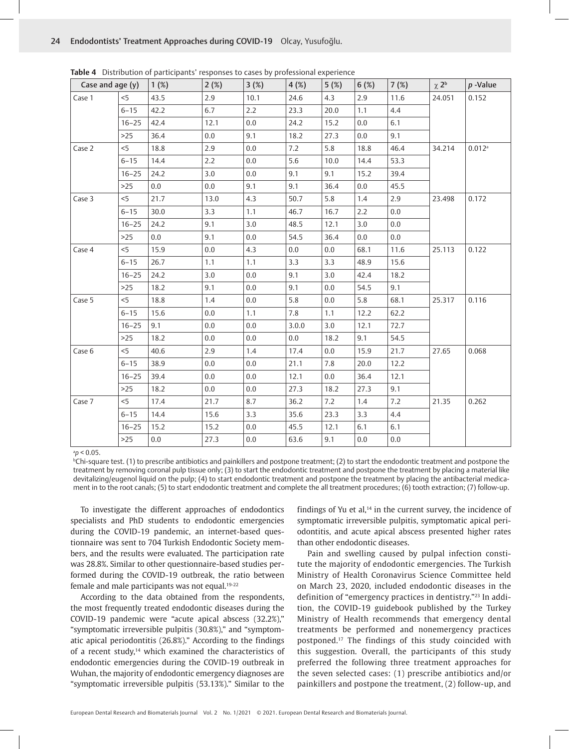| Case and age (y) |           | 1(%) | 2(%) | 3(%)    | 4(%)  | 5(%) | 6(%) | 7(%) | $\chi 2^b$ | $p$ -Value           |
|------------------|-----------|------|------|---------|-------|------|------|------|------------|----------------------|
| Case 1           | < 5       | 43.5 | 2.9  | 10.1    | 24.6  | 4.3  | 2.9  | 11.6 | 24.051     | 0.152                |
|                  | $6 - 15$  | 42.2 | 6.7  | 2.2     | 23.3  | 20.0 | 1.1  | 4,4  |            |                      |
|                  | $16 - 25$ | 42.4 | 12.1 | 0.0     | 24.2  | 15.2 | 0.0  | 6.1  |            |                      |
|                  | $>25$     | 36.4 | 0.0  | 9.1     | 18.2  | 27.3 | 0.0  | 9.1  |            |                      |
| Case 2           | $<$ 5     | 18.8 | 2.9  | 0.0     | 7.2   | 5.8  | 18.8 | 46.4 | 34.214     | $0.012$ <sup>a</sup> |
|                  | $6 - 15$  | 14.4 | 2.2  | 0.0     | 5.6   | 10.0 | 14.4 | 53.3 |            |                      |
|                  | $16 - 25$ | 24.2 | 3.0  | 0.0     | 9.1   | 9.1  | 15.2 | 39.4 |            |                      |
|                  | $>25$     | 0.0  | 0.0  | 9.1     | 9.1   | 36.4 | 0.0  | 45.5 |            |                      |
| Case 3           | $<$ 5     | 21.7 | 13.0 | 4.3     | 50.7  | 5.8  | 1.4  | 2.9  | 23.498     | 0.172                |
|                  | $6 - 15$  | 30.0 | 3.3  | 1.1     | 46.7  | 16.7 | 2.2  | 0.0  |            |                      |
|                  | $16 - 25$ | 24.2 | 9.1  | 3.0     | 48.5  | 12.1 | 3.0  | 0.0  |            |                      |
|                  | $>25$     | 0.0  | 9.1  | 0.0     | 54.5  | 36.4 | 0.0  | 0.0  |            |                      |
| Case 4           | 5<        | 15.9 | 0.0  | 4.3     | 0.0   | 0.0  | 68.1 | 11.6 | 25.113     | 0.122                |
|                  | $6 - 15$  | 26.7 | 1.1  | 1.1     | 3.3   | 3.3  | 48.9 | 15.6 |            |                      |
|                  | $16 - 25$ | 24.2 | 3.0  | 0.0     | 9.1   | 3.0  | 42.4 | 18.2 |            |                      |
|                  | $>25$     | 18.2 | 9.1  | 0.0     | 9.1   | 0.0  | 54.5 | 9.1  |            |                      |
| Case 5           | $<$ 5     | 18.8 | 1.4  | 0.0     | 5.8   | 0.0  | 5.8  | 68.1 | 25.317     | 0.116                |
|                  | $6 - 15$  | 15.6 | 0.0  | 1.1     | 7.8   | 1.1  | 12.2 | 62.2 |            |                      |
|                  | $16 - 25$ | 9.1  | 0.0  | 0.0     | 3.0.0 | 3.0  | 12.1 | 72.7 |            |                      |
|                  | $>25$     | 18.2 | 0.0  | 0.0     | 0.0   | 18.2 | 9.1  | 54.5 |            |                      |
| Case 6           | $<$ 5     | 40.6 | 2.9  | 1.4     | 17.4  | 0.0  | 15.9 | 21.7 | 27.65      | 0.068                |
|                  | $6 - 15$  | 38.9 | 0.0  | 0.0     | 21.1  | 7.8  | 20.0 | 12.2 |            |                      |
|                  | $16 - 25$ | 39.4 | 0.0  | 0.0     | 12.1  | 0.0  | 36.4 | 12.1 |            |                      |
|                  | $>25$     | 18.2 | 0.0  | 0.0     | 27.3  | 18.2 | 27.3 | 9.1  |            |                      |
| Case 7           | $<$ 5     | 17.4 | 21.7 | 8.7     | 36.2  | 7.2  | 1.4  | 7.2  | 21.35      | 0.262                |
|                  | $6 - 15$  | 14.4 | 15.6 | 3.3     | 35.6  | 23.3 | 3.3  | 4.4  |            |                      |
|                  | $16 - 25$ | 15.2 | 15.2 | $0.0\,$ | 45.5  | 12.1 | 6.1  | 6.1  |            |                      |
|                  | $>25$     | 0.0  | 27.3 | 0.0     | 63.6  | 9.1  | 0.0  | 0.0  |            |                      |

**Table 4** Distribution of participants' responses to cases by professional experience

a *p* < 0.05.

b Chi-square test. (1) to prescribe antibiotics and painkillers and postpone treatment; (2) to start the endodontic treatment and postpone the treatment by removing coronal pulp tissue only; (3) to start the endodontic treatment and postpone the treatment by placing a material like devitalizing/eugenol liquid on the pulp; (4) to start endodontic treatment and postpone the treatment by placing the antibacterial medicament in to the root canals; (5) to start endodontic treatment and complete the all treatment procedures; (6) tooth extraction; (7) follow-up.

To investigate the different approaches of endodontics specialists and PhD students to endodontic emergencies during the COVID-19 pandemic, an internet-based questionnaire was sent to 704 Turkish Endodontic Society members, and the results were evaluated. The participation rate was 28.8%. Similar to other questionnaire-based studies performed during the COVID-19 outbreak, the ratio between female and male participants was not equal.19-22

According to the data obtained from the respondents, the most frequently treated endodontic diseases during the COVID-19 pandemic were "acute apical abscess (32.2%)," "symptomatic irreversible pulpitis (30.8%)," and "symptomatic apical periodontitis (26.8%)." According to the findings of a recent study, $14$  which examined the characteristics of endodontic emergencies during the COVID-19 outbreak in Wuhan, the majority of endodontic emergency diagnoses are "symptomatic irreversible pulpitis (53.13%)." Similar to the

findings of Yu et al, $14$  in the current survey, the incidence of symptomatic irreversible pulpitis, symptomatic apical periodontitis, and acute apical abscess presented higher rates than other endodontic diseases.

Pain and swelling caused by pulpal infection constitute the majority of endodontic emergencies. The Turkish Ministry of Health Coronavirus Science Committee held on March 23, 2020, included endodontic diseases in the definition of "emergency practices in dentistry."23 In addition, the COVID-19 guidebook published by the Turkey Ministry of Health recommends that emergency dental treatments be performed and nonemergency practices postponed.17 The findings of this study coincided with this suggestion. Overall, the participants of this study preferred the following three treatment approaches for the seven selected cases: (1) prescribe antibiotics and/or painkillers and postpone the treatment, (2) follow-up, and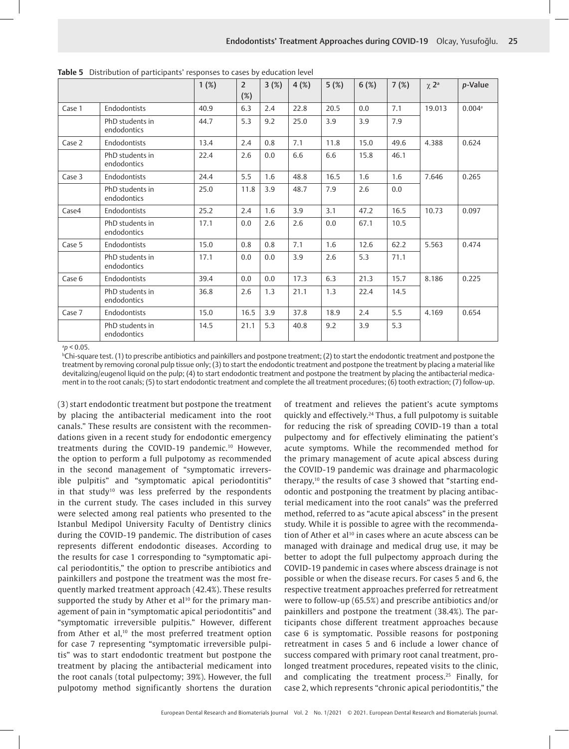|        |                                | 1(%) | $\overline{2}$<br>$(\%)$ | 3(%) | 4(%) | 5(%) | 6(%) | 7(%) | $\chi$ 2 <sup>a</sup> | p-Value              |
|--------|--------------------------------|------|--------------------------|------|------|------|------|------|-----------------------|----------------------|
| Case 1 | Endodontists                   | 40.9 | 6.3                      | 2.4  | 22.8 | 20.5 | 0.0  | 7.1  | 19.013                | $0.004$ <sup>a</sup> |
|        | PhD students in<br>endodontics | 44.7 | 5.3                      | 9.2  | 25.0 | 3.9  | 3.9  | 7.9  |                       |                      |
| Case 2 | Endodontists                   | 13.4 | 2.4                      | 0.8  | 7.1  | 11.8 | 15.0 | 49.6 | 4.388                 | 0.624                |
|        | PhD students in<br>endodontics | 22.4 | 2.6                      | 0.0  | 6.6  | 6.6  | 15.8 | 46.1 |                       |                      |
| Case 3 | Endodontists                   | 24.4 | 5.5                      | 1.6  | 48.8 | 16.5 | 1.6  | 1.6  | 7.646                 | 0.265                |
|        | PhD students in<br>endodontics | 25.0 | 11.8                     | 3.9  | 48.7 | 7.9  | 2.6  | 0.0  |                       |                      |
| Case4  | Endodontists                   | 25.2 | 2.4                      | 1.6  | 3.9  | 3.1  | 47.2 | 16.5 | 10.73                 | 0.097                |
|        | PhD students in<br>endodontics | 17.1 | 0.0                      | 2.6  | 2.6  | 0.0  | 67.1 | 10.5 |                       |                      |
| Case 5 | Endodontists                   | 15.0 | 0.8                      | 0.8  | 7.1  | 1.6  | 12.6 | 62.2 | 5.563                 | 0.474                |
|        | PhD students in<br>endodontics | 17.1 | 0.0                      | 0.0  | 3.9  | 2.6  | 5.3  | 71.1 |                       |                      |
| Case 6 | Endodontists                   | 39.4 | 0.0                      | 0.0  | 17.3 | 6.3  | 21.3 | 15.7 | 8.186                 | 0.225                |
|        | PhD students in<br>endodontics | 36.8 | 2.6                      | 1.3  | 21.1 | 1.3  | 22.4 | 14.5 |                       |                      |
| Case 7 | Endodontists                   | 15.0 | 16.5                     | 3.9  | 37.8 | 18.9 | 2.4  | 5.5  | 4.169                 | 0.654                |
|        | PhD students in<br>endodontics | 14.5 | 21.1                     | 5.3  | 40.8 | 9.2  | 3.9  | 5.3  |                       |                      |

| <b>Table 5</b> Distribution of participants' responses to cases by education level |  |
|------------------------------------------------------------------------------------|--|
|------------------------------------------------------------------------------------|--|

 $^{a}p < 0.05$ .

b Chi-square test. (1) to prescribe antibiotics and painkillers and postpone treatment; (2) to start the endodontic treatment and postpone the treatment by removing coronal pulp tissue only; (3) to start the endodontic treatment and postpone the treatment by placing a material like devitalizing/eugenol liquid on the pulp; (4) to start endodontic treatment and postpone the treatment by placing the antibacterial medicament in to the root canals; (5) to start endodontic treatment and complete the all treatment procedures; (6) tooth extraction; (7) follow-up.

(3) start endodontic treatment but postpone the treatment by placing the antibacterial medicament into the root canals." These results are consistent with the recommendations given in a recent study for endodontic emergency treatments during the COVID-19 pandemic.<sup>10</sup> However, the option to perform a full pulpotomy as recommended in the second management of "symptomatic irreversible pulpitis" and "symptomatic apical periodontitis" in that study<sup>10</sup> was less preferred by the respondents in the current study. The cases included in this survey were selected among real patients who presented to the Istanbul Medipol University Faculty of Dentistry clinics during the COVID-19 pandemic. The distribution of cases represents different endodontic diseases. According to the results for case 1 corresponding to "symptomatic apical periodontitis," the option to prescribe antibiotics and painkillers and postpone the treatment was the most frequently marked treatment approach (42.4%). These results supported the study by Ather et al<sup>10</sup> for the primary management of pain in "symptomatic apical periodontitis" and "symptomatic irreversible pulpitis." However, different from Ather et al,<sup>10</sup> the most preferred treatment option for case 7 representing "symptomatic irreversible pulpitis" was to start endodontic treatment but postpone the treatment by placing the antibacterial medicament into the root canals (total pulpectomy; 39%). However, the full pulpotomy method significantly shortens the duration

of treatment and relieves the patient's acute symptoms quickly and effectively.24 Thus, a full pulpotomy is suitable for reducing the risk of spreading COVID-19 than a total pulpectomy and for effectively eliminating the patient's acute symptoms. While the recommended method for the primary management of acute apical abscess during the COVID-19 pandemic was drainage and pharmacologic therapy,<sup>10</sup> the results of case 3 showed that "starting endodontic and postponing the treatment by placing antibacterial medicament into the root canals" was the preferred method, referred to as "acute apical abscess" in the present study. While it is possible to agree with the recommendation of Ather et al<sup>10</sup> in cases where an acute abscess can be managed with drainage and medical drug use, it may be better to adopt the full pulpectomy approach during the COVID-19 pandemic in cases where abscess drainage is not possible or when the disease recurs. For cases 5 and 6, the respective treatment approaches preferred for retreatment were to follow-up (65.5%) and prescribe antibiotics and/or painkillers and postpone the treatment (38.4%). The participants chose different treatment approaches because case 6 is symptomatic. Possible reasons for postponing retreatment in cases 5 and 6 include a lower chance of success compared with primary root canal treatment, prolonged treatment procedures, repeated visits to the clinic, and complicating the treatment process.<sup>25</sup> Finally, for case 2, which represents "chronic apical periodontitis," the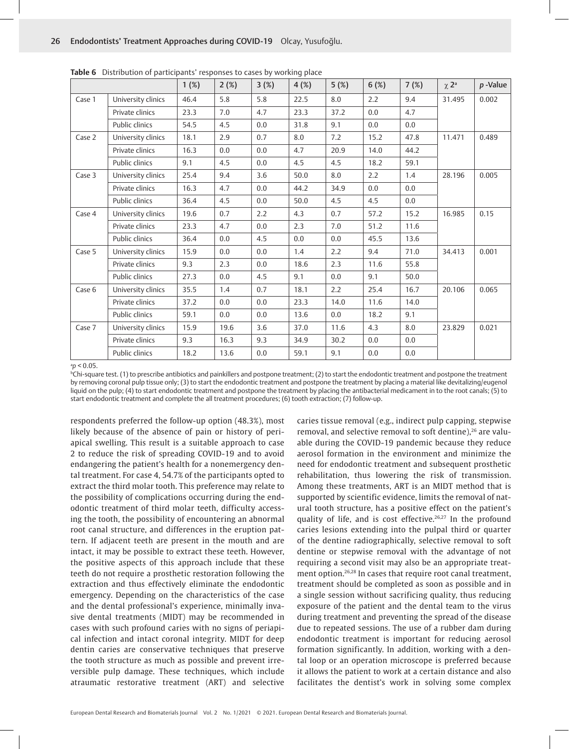|        |                    | 1(%) | 2(%) | 3(%) | 4(%) | 5(%) | 6(%) | 7(%) | $\chi$ 2 <sup>a</sup> | $p$ -Value |
|--------|--------------------|------|------|------|------|------|------|------|-----------------------|------------|
|        |                    | 46.4 | 5.8  | 5.8  | 22.5 | 8.0  | 2.2  | 9.4  | 31.495                | 0.002      |
| Case 1 | University clinics |      |      |      |      |      |      |      |                       |            |
|        | Private clinics    | 23.3 | 7.0  | 4.7  | 23.3 | 37.2 | 0.0  | 4.7  |                       |            |
|        | Public clinics     | 54.5 | 4.5  | 0.0  | 31.8 | 9.1  | 0.0  | 0.0  |                       |            |
| Case 2 | University clinics | 18.1 | 2.9  | 0.7  | 8.0  | 7.2  | 15.2 | 47.8 | 11.471                | 0.489      |
|        | Private clinics    | 16.3 | 0.0  | 0.0  | 4.7  | 20.9 | 14.0 | 44.2 |                       |            |
|        | Public clinics     | 9.1  | 4.5  | 0.0  | 4.5  | 4.5  | 18.2 | 59.1 |                       |            |
| Case 3 | University clinics | 25.4 | 9.4  | 3.6  | 50.0 | 8.0  | 2.2  | 1.4  | 28.196                | 0.005      |
|        | Private clinics    | 16.3 | 4.7  | 0.0  | 44.2 | 34.9 | 0.0  | 0.0  |                       |            |
|        | Public clinics     | 36.4 | 4.5  | 0.0  | 50.0 | 4.5  | 4.5  | 0.0  |                       |            |
| Case 4 | University clinics | 19.6 | 0.7  | 2.2  | 4.3  | 0.7  | 57.2 | 15.2 | 16.985                | 0.15       |
|        | Private clinics    | 23.3 | 4.7  | 0.0  | 2.3  | 7.0  | 51.2 | 11.6 |                       |            |
|        | Public clinics     | 36.4 | 0.0  | 4.5  | 0.0  | 0.0  | 45.5 | 13.6 |                       |            |
| Case 5 | University clinics | 15.9 | 0.0  | 0.0  | 1.4  | 2.2  | 9.4  | 71.0 | 34.413                | 0.001      |
|        | Private clinics    | 9.3  | 2.3  | 0.0  | 18.6 | 2.3  | 11.6 | 55.8 |                       |            |
|        | Public clinics     | 27.3 | 0.0  | 4.5  | 9.1  | 0.0  | 9.1  | 50.0 |                       |            |
| Case 6 | University clinics | 35.5 | 1.4  | 0.7  | 18.1 | 2.2  | 25.4 | 16.7 | 20.106                | 0.065      |
|        | Private clinics    | 37.2 | 0.0  | 0.0  | 23.3 | 14.0 | 11.6 | 14.0 |                       |            |
|        | Public clinics     | 59.1 | 0.0  | 0.0  | 13.6 | 0.0  | 18.2 | 9.1  |                       |            |
| Case 7 | University clinics | 15.9 | 19.6 | 3.6  | 37.0 | 11.6 | 4.3  | 8.0  | 23.829                | 0.021      |
|        | Private clinics    | 9.3  | 16.3 | 9.3  | 34.9 | 30.2 | 0.0  | 0.0  |                       |            |
|        | Public clinics     | 18.2 | 13.6 | 0.0  | 59.1 | 9.1  | 0.0  | 0.0  |                       |            |

**Table 6** Distribution of participants' responses to cases by working place

#### a *p* < 0.05.

b Chi-square test. (1) to prescribe antibiotics and painkillers and postpone treatment; (2) to start the endodontic treatment and postpone the treatment by removing coronal pulp tissue only; (3) to start the endodontic treatment and postpone the treatment by placing a material like devitalizing/eugenol liquid on the pulp; (4) to start endodontic treatment and postpone the treatment by placing the antibacterial medicament in to the root canals; (5) to start endodontic treatment and complete the all treatment procedures; (6) tooth extraction; (7) follow-up.

respondents preferred the follow-up option (48.3%), most likely because of the absence of pain or history of periapical swelling. This result is a suitable approach to case 2 to reduce the risk of spreading COVID-19 and to avoid endangering the patient's health for a nonemergency dental treatment. For case 4, 54.7% of the participants opted to extract the third molar tooth. This preference may relate to the possibility of complications occurring during the endodontic treatment of third molar teeth, difficulty accessing the tooth, the possibility of encountering an abnormal root canal structure, and differences in the eruption pattern. If adjacent teeth are present in the mouth and are intact, it may be possible to extract these teeth. However, the positive aspects of this approach include that these teeth do not require a prosthetic restoration following the extraction and thus effectively eliminate the endodontic emergency. Depending on the characteristics of the case and the dental professional's experience, minimally invasive dental treatments (MIDT) may be recommended in cases with such profound caries with no signs of periapical infection and intact coronal integrity. MIDT for deep dentin caries are conservative techniques that preserve the tooth structure as much as possible and prevent irreversible pulp damage. These techniques, which include atraumatic restorative treatment (ART) and selective

caries tissue removal (e.g., indirect pulp capping, stepwise removal, and selective removal to soft dentine),<sup>26</sup> are valuable during the COVID-19 pandemic because they reduce aerosol formation in the environment and minimize the need for endodontic treatment and subsequent prosthetic rehabilitation, thus lowering the risk of transmission. Among these treatments, ART is an MIDT method that is supported by scientific evidence, limits the removal of natural tooth structure, has a positive effect on the patient's quality of life, and is cost effective.<sup>26,27</sup> In the profound caries lesions extending into the pulpal third or quarter of the dentine radiographically, selective removal to soft dentine or stepwise removal with the advantage of not requiring a second visit may also be an appropriate treatment option.26,28 In cases that require root canal treatment, treatment should be completed as soon as possible and in a single session without sacrificing quality, thus reducing exposure of the patient and the dental team to the virus during treatment and preventing the spread of the disease due to repeated sessions. The use of a rubber dam during endodontic treatment is important for reducing aerosol formation significantly. In addition, working with a dental loop or an operation microscope is preferred because it allows the patient to work at a certain distance and also facilitates the dentist's work in solving some complex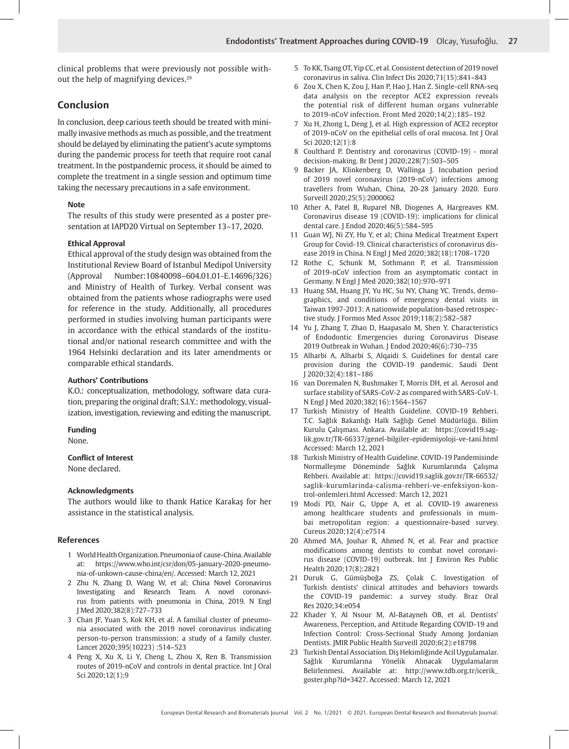clinical problems that were previously not possible without the help of magnifying devices.29

## **Conclusion**

In conclusion, deep carious teeth should be treated with minimally invasive methods as much as possible, and the treatment should be delayed by eliminating the patient's acute symptoms during the pandemic process for teeth that require root canal treatment. In the postpandemic process, it should be aimed to complete the treatment in a single session and optimum time taking the necessary precautions in a safe environment.

#### **Note**

The results of this study were presented as a poster presentation at IAPD20 Virtual on September 13–17, 2020.

#### **Ethical Approval**

Ethical approval of the study design was obtained from the Institutional Review Board of Istanbul Medipol University (Approval Number:10840098–604.01.01-E.14696/326) and Ministry of Health of Turkey. Verbal consent was obtained from the patients whose radiographs were used for reference in the study. Additionally, all procedures performed in studies involving human participants were in accordance with the ethical standards of the institutional and/or national research committee and with the 1964 Helsinki declaration and its later amendments or comparable ethical standards.

### **Authors' Contributions**

K.O.: conceptualization, methodology, software data curation, preparing the original draft; S.I.Y.: methodology, visualization, investigation, reviewing and editing the manuscript.

#### **Funding**

None.

#### **Conflict of Interest**

None declared.

## **Acknowledgments**

The authors would like to thank Hatice Karakaş for her assistance in the statistical analysis.

#### **References**

- 1 World Health Organization. Pneumonia of cause-China. Available at: https://www.who.int/csr/don/05-january-2020-pneumonia-of-unkown-cause-china/en/. Accessed: March 12, 2021
- 2 Zhu N, Zhang D, Wang W, et al; China Novel Coronavirus Investigating and Research Team. A novel coronavirus from patients with pneumonia in China, 2019. N Engl J Med 2020;382(8):727–733
- 3 Chan JF, Yuan S, Kok KH, et al. A familial cluster of pneumonia associated with the 2019 novel coronavirus indicating person-to-person transmission: a study of a family cluster. Lancet 2020;395(10223) :514–523
- 4 Peng X, Xu X, Li Y, Cheng L, Zhou X, Ren B. Transmission routes of 2019-nCoV and controls in dental practice. Int J Oral Sci 2020;12(1):9
- 5 To KK, Tsang OT, Yip CC, et al. Consistent detection of 2019 novel coronavirus in saliva. Clin Infect Dis 2020;71(15):841–843
- 6 Zou X, Chen K, Zou J, Han P, Hao J, Han Z. Single-cell RNA-seq data analysis on the receptor ACE2 expression reveals the potential risk of different human organs vulnerable to 2019-nCoV infection. Front Med 2020;14(2):185–192
- 7 Xu H, Zhong L, Deng J, et al. High expression of ACE2 receptor of 2019-nCoV on the epithelial cells of oral mucosa. Int J Oral Sci 2020;12(1):8
- 8 Coulthard P. Dentistry and coronavirus (COVID-19) moral decision-making. Br Dent J 2020;228(7):503–505
- 9 Backer JA, Klinkenberg D, Wallinga J. Incubation period of 2019 novel coronavirus (2019-nCoV) infections among travellers from Wuhan, China, 20-28 January 2020. Euro Surveill 2020;25(5):2000062
- 10 Ather A, Patel B, Ruparel NB, Diogenes A, Hargreaves KM. Coronavirus disease 19 (COVID-19): implications for clinical dental care. J Endod 2020;46(5):584–595
- 11 Guan WJ, Ni ZY, Hu Y, et al; China Medical Treatment Expert Group for Covid-19. Clinical characteristics of coronavirus disease 2019 in China. N Engl J Med 2020;382(18):1708–1720
- 12 Rothe C, Schunk M, Sothmann P, et al. Transmission of 2019-nCoV infection from an asymptomatic contact in Germany. N Engl J Med 2020;382(10):970–971
- 13 Huang SM, Huang JY, Yu HC, Su NY, Chang YC. Trends, demographics, and conditions of emergency dental visits in Taiwan 1997-2013: A nationwide population-based retrospective study. J Formos Med Assoc 2019;118(2):582–587
- 14 Yu J, Zhang T, Zhao D, Haapasalo M, Shen Y. Characteristics of Endodontic Emergencies during Coronavirus Disease 2019 Outbreak in Wuhan. J Endod 2020;46(6):730–735
- 15 Alharbi A, Alharbi S, Alqaidi S. Guidelines for dental care provision during the COVID-19 pandemic. Saudi Dent J 2020;32(4):181–186
- 16 van Doremalen N, Bushmaker T, Morris DH, et al. Aerosol and surface stability of SARS-CoV-2 as compared with SARS-CoV-1. N Engl J Med 2020;382(16):1564–1567
- 17 Turkish Ministry of Health Guideline. COVID-19 Rehberi. T.C. Sağlık Bakanlığı Halk Sağlığı Genel Müdürlüğü. Bilim Kurulu Çalışması. Ankara. Available at: https://covid19.saglik.gov.tr/TR-66337/genel-bilgiler-epidemiyoloji-ve-tani.html Accessed: March 12, 2021
- 18 Turkish Ministry of Health Guideline. COVID-19 Pandemisinde Normalleşme Döneminde Sağlık Kurumlarında Çalışma Rehberi. Available at: https://covid19.saglik.gov.tr/TR-66532/ saglik-kurumlarinda-calisma-rehberi-ve-enfeksiyon-kontrol-onlemleri.html Accessed: March 12, 2021
- 19 Modi PD, Nair G, Uppe A, et al. COVID-19 awareness among healthcare students and professionals in mumbai metropolitan region: a questionnaire-based survey. Cureus 2020;12(4):e7514
- 20 Ahmed MA, Jouhar R, Ahmed N, et al. Fear and practice modifications among dentists to combat novel coronavirus disease (COVID-19) outbreak. Int J Environ Res Public Health 2020;17(8):2821
- 21 Duruk G, Gümüşboğa ZS, Çolak C. Investigation of Turkish dentists' clinical attitudes and behaviors towards the COVID-19 pandemic: a survey study. Braz Oral Res 2020;34:e054
- 22 Khader Y, Al Nsour M, Al-Batayneh OB, et al. Dentists' Awareness, Perception, and Attitude Regarding COVID-19 and Infection Control: Cross-Sectional Study Among Jordanian Dentists. JMIR Public Health Surveill 2020;6(2):e18798
- 23 Turkish Dental Association. Diş Hekimliğinde Acil Uygulamalar. Sağlık Kurumlarına Yönelik Alınacak Uygulamaların Belirlenmesi. Available at: http://www.tdb.org.tr/icerik\_ goster.php?Id=3427. Accessed: March 12, 2021